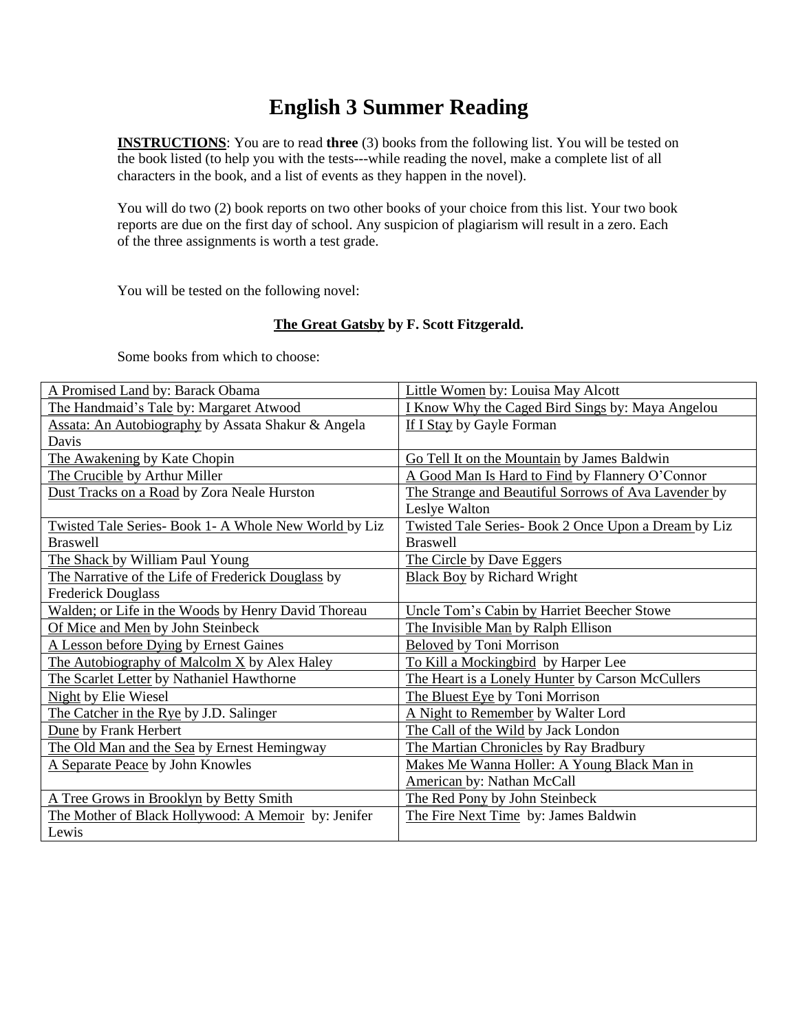# **English 3 Summer Reading**

**INSTRUCTIONS**: You are to read **three** (3) books from the following list. You will be tested on the book listed (to help you with the tests---while reading the novel, make a complete list of all characters in the book, and a list of events as they happen in the novel).

You will do two (2) book reports on two other books of your choice from this list. Your two book reports are due on the first day of school. Any suspicion of plagiarism will result in a zero. Each of the three assignments is worth a test grade.

You will be tested on the following novel:

### **The Great Gatsby by F. Scott Fitzgerald.**

Some books from which to choose:

| A Promised Land by: Barack Obama                      | Little Women by: Louisa May Alcott                      |
|-------------------------------------------------------|---------------------------------------------------------|
| The Handmaid's Tale by: Margaret Atwood               | <b>I Know Why the Caged Bird Sings by: Maya Angelou</b> |
| Assata: An Autobiography by Assata Shakur & Angela    | If I Stay by Gayle Forman                               |
| Davis                                                 |                                                         |
| The Awakening by Kate Chopin                          | Go Tell It on the Mountain by James Baldwin             |
| The Crucible by Arthur Miller                         | A Good Man Is Hard to Find by Flannery O'Connor         |
| Dust Tracks on a Road by Zora Neale Hurston           | The Strange and Beautiful Sorrows of Ava Lavender by    |
|                                                       | Leslye Walton                                           |
| Twisted Tale Series- Book 1- A Whole New World by Liz | Twisted Tale Series- Book 2 Once Upon a Dream by Liz    |
| <b>Braswell</b>                                       | <b>Braswell</b>                                         |
| The Shack by William Paul Young                       | The Circle by Dave Eggers                               |
| The Narrative of the Life of Frederick Douglass by    | <b>Black Boy by Richard Wright</b>                      |
| <b>Frederick Douglass</b>                             |                                                         |
| Walden; or Life in the Woods by Henry David Thoreau   | Uncle Tom's Cabin by Harriet Beecher Stowe              |
| Of Mice and Men by John Steinbeck                     | The Invisible Man by Ralph Ellison                      |
| A Lesson before Dying by Ernest Gaines                | <b>Beloved by Toni Morrison</b>                         |
| The Autobiography of Malcolm X by Alex Haley          | To Kill a Mockingbird by Harper Lee                     |
| The Scarlet Letter by Nathaniel Hawthorne             | The Heart is a Lonely Hunter by Carson McCullers        |
| Night by Elie Wiesel                                  | The Bluest Eye by Toni Morrison                         |
| The Catcher in the Rye by J.D. Salinger               | A Night to Remember by Walter Lord                      |
| Dune by Frank Herbert                                 | The Call of the Wild by Jack London                     |
| The Old Man and the Sea by Ernest Hemingway           | The Martian Chronicles by Ray Bradbury                  |
| A Separate Peace by John Knowles                      | Makes Me Wanna Holler: A Young Black Man in             |
|                                                       | <b>American by: Nathan McCall</b>                       |
| A Tree Grows in Brooklyn by Betty Smith               | The Red Pony by John Steinbeck                          |
| The Mother of Black Hollywood: A Memoir by: Jenifer   | The Fire Next Time by: James Baldwin                    |
| Lewis                                                 |                                                         |